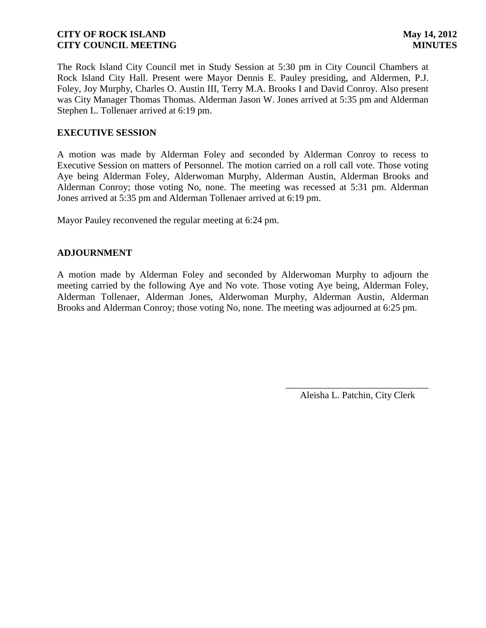The Rock Island City Council met in Study Session at 5:30 pm in City Council Chambers at Rock Island City Hall. Present were Mayor Dennis E. Pauley presiding, and Aldermen, P.J. Foley, Joy Murphy, Charles O. Austin III, Terry M.A. Brooks I and David Conroy. Also present was City Manager Thomas Thomas. Alderman Jason W. Jones arrived at 5:35 pm and Alderman Stephen L. Tollenaer arrived at 6:19 pm.

## **EXECUTIVE SESSION**

A motion was made by Alderman Foley and seconded by Alderman Conroy to recess to Executive Session on matters of Personnel. The motion carried on a roll call vote. Those voting Aye being Alderman Foley, Alderwoman Murphy, Alderman Austin, Alderman Brooks and Alderman Conroy; those voting No, none. The meeting was recessed at 5:31 pm. Alderman Jones arrived at 5:35 pm and Alderman Tollenaer arrived at 6:19 pm.

Mayor Pauley reconvened the regular meeting at 6:24 pm.

### **ADJOURNMENT**

A motion made by Alderman Foley and seconded by Alderwoman Murphy to adjourn the meeting carried by the following Aye and No vote. Those voting Aye being, Alderman Foley, Alderman Tollenaer, Alderman Jones, Alderwoman Murphy, Alderman Austin, Alderman Brooks and Alderman Conroy; those voting No, none. The meeting was adjourned at 6:25 pm.

> \_\_\_\_\_\_\_\_\_\_\_\_\_\_\_\_\_\_\_\_\_\_\_\_\_\_\_\_\_\_ Aleisha L. Patchin, City Clerk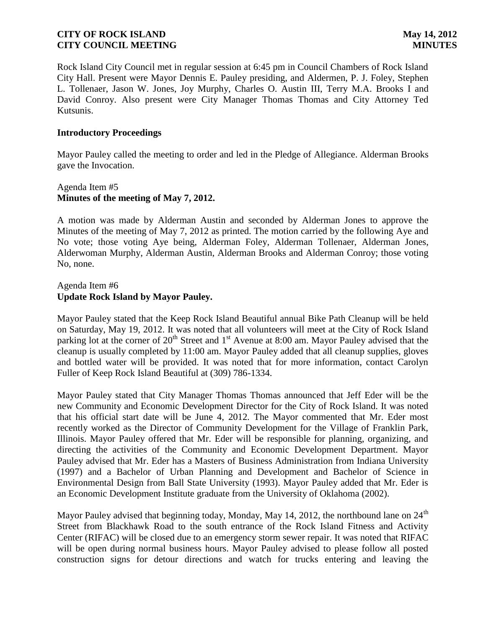Rock Island City Council met in regular session at 6:45 pm in Council Chambers of Rock Island City Hall. Present were Mayor Dennis E. Pauley presiding, and Aldermen, P. J. Foley, Stephen L. Tollenaer, Jason W. Jones, Joy Murphy, Charles O. Austin III, Terry M.A. Brooks I and David Conroy. Also present were City Manager Thomas Thomas and City Attorney Ted Kutsunis.

### **Introductory Proceedings**

Mayor Pauley called the meeting to order and led in the Pledge of Allegiance. Alderman Brooks gave the Invocation.

## Agenda Item #5 **Minutes of the meeting of May 7, 2012.**

A motion was made by Alderman Austin and seconded by Alderman Jones to approve the Minutes of the meeting of May 7, 2012 as printed. The motion carried by the following Aye and No vote; those voting Aye being, Alderman Foley, Alderman Tollenaer, Alderman Jones, Alderwoman Murphy, Alderman Austin, Alderman Brooks and Alderman Conroy; those voting No, none.

### Agenda Item #6 **Update Rock Island by Mayor Pauley.**

Mayor Pauley stated that the Keep Rock Island Beautiful annual Bike Path Cleanup will be held on Saturday, May 19, 2012. It was noted that all volunteers will meet at the City of Rock Island parking lot at the corner of 20<sup>th</sup> Street and 1<sup>st</sup> Avenue at 8:00 am. Mayor Pauley advised that the cleanup is usually completed by 11:00 am. Mayor Pauley added that all cleanup supplies, gloves and bottled water will be provided. It was noted that for more information, contact Carolyn Fuller of Keep Rock Island Beautiful at (309) 786-1334.

Mayor Pauley stated that City Manager Thomas Thomas announced that Jeff Eder will be the new Community and Economic Development Director for the City of Rock Island. It was noted that his official start date will be June 4, 2012. The Mayor commented that Mr. Eder most recently worked as the Director of Community Development for the Village of Franklin Park, Illinois. Mayor Pauley offered that Mr. Eder will be responsible for planning, organizing, and directing the activities of the Community and Economic Development Department. Mayor Pauley advised that Mr. Eder has a Masters of Business Administration from Indiana University (1997) and a Bachelor of Urban Planning and Development and Bachelor of Science in Environmental Design from Ball State University (1993). Mayor Pauley added that Mr. Eder is an Economic Development Institute graduate from the University of Oklahoma (2002).

Mayor Pauley advised that beginning today, Monday, May 14, 2012, the northbound lane on 24<sup>th</sup> Street from Blackhawk Road to the south entrance of the Rock Island Fitness and Activity Center (RIFAC) will be closed due to an emergency storm sewer repair. It was noted that RIFAC will be open during normal business hours. Mayor Pauley advised to please follow all posted construction signs for detour directions and watch for trucks entering and leaving the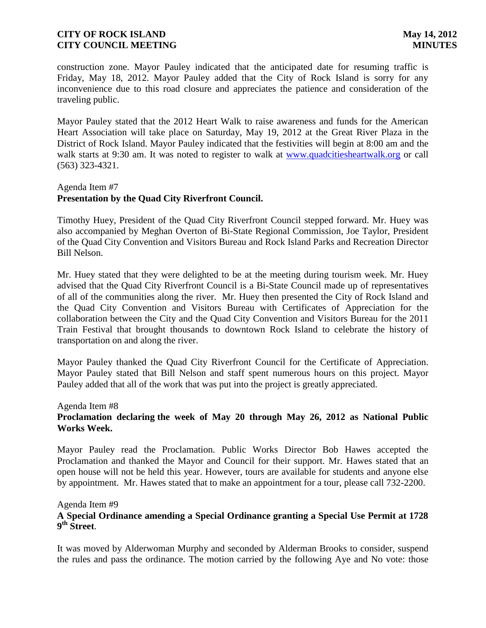construction zone. Mayor Pauley indicated that the anticipated date for resuming traffic is Friday, May 18, 2012. Mayor Pauley added that the City of Rock Island is sorry for any inconvenience due to this road closure and appreciates the patience and consideration of the traveling public.

Mayor Pauley stated that the 2012 Heart Walk to raise awareness and funds for the American Heart Association will take place on Saturday, May 19, 2012 at the Great River Plaza in the District of Rock Island. Mayor Pauley indicated that the festivities will begin at 8:00 am and the walk starts at 9:30 am. It was noted to register to walk at [www.quadcitiesheartwalk.org](http://www.quadcitiesheartwalk.org/) or call (563) 323-4321.

#### Agenda Item #7

# **Presentation by the Quad City Riverfront Council.**

Timothy Huey, President of the Quad City Riverfront Council stepped forward. Mr. Huey was also accompanied by Meghan Overton of Bi-State Regional Commission, Joe Taylor, President of the Quad City Convention and Visitors Bureau and Rock Island Parks and Recreation Director Bill Nelson.

Mr. Huey stated that they were delighted to be at the meeting during tourism week. Mr. Huey advised that the Quad City Riverfront Council is a Bi-State Council made up of representatives of all of the communities along the river. Mr. Huey then presented the City of Rock Island and the Quad City Convention and Visitors Bureau with Certificates of Appreciation for the collaboration between the City and the Quad City Convention and Visitors Bureau for the 2011 Train Festival that brought thousands to downtown Rock Island to celebrate the history of transportation on and along the river.

Mayor Pauley thanked the Quad City Riverfront Council for the Certificate of Appreciation. Mayor Pauley stated that Bill Nelson and staff spent numerous hours on this project. Mayor Pauley added that all of the work that was put into the project is greatly appreciated.

#### Agenda Item #8

## **Proclamation declaring the week of May 20 through May 26, 2012 as National Public Works Week.**

Mayor Pauley read the Proclamation. Public Works Director Bob Hawes accepted the Proclamation and thanked the Mayor and Council for their support. Mr. Hawes stated that an open house will not be held this year. However, tours are available for students and anyone else by appointment. Mr. Hawes stated that to make an appointment for a tour, please call 732-2200.

#### Agenda Item #9

## **A Special Ordinance amending a Special Ordinance granting a Special Use Permit at 1728 9 th Street**.

It was moved by Alderwoman Murphy and seconded by Alderman Brooks to consider, suspend the rules and pass the ordinance. The motion carried by the following Aye and No vote: those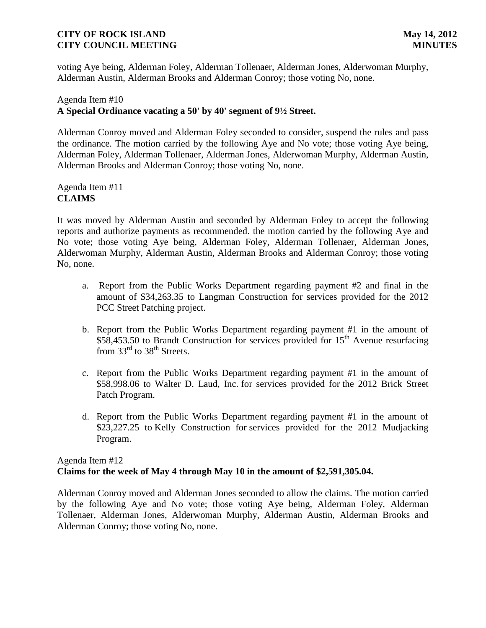voting Aye being, Alderman Foley, Alderman Tollenaer, Alderman Jones, Alderwoman Murphy, Alderman Austin, Alderman Brooks and Alderman Conroy; those voting No, none.

# Agenda Item #10 **A Special Ordinance vacating a 50' by 40' segment of 9½ Street.**

Alderman Conroy moved and Alderman Foley seconded to consider, suspend the rules and pass the ordinance. The motion carried by the following Aye and No vote; those voting Aye being, Alderman Foley, Alderman Tollenaer, Alderman Jones, Alderwoman Murphy, Alderman Austin, Alderman Brooks and Alderman Conroy; those voting No, none.

Agenda Item #11 **CLAIMS**

It was moved by Alderman Austin and seconded by Alderman Foley to accept the following reports and authorize payments as recommended. the motion carried by the following Aye and No vote; those voting Aye being, Alderman Foley, Alderman Tollenaer, Alderman Jones, Alderwoman Murphy, Alderman Austin, Alderman Brooks and Alderman Conroy; those voting No, none.

- a. Report from the Public Works Department regarding payment #2 and final in the amount of \$34,263.35 to Langman Construction for services provided for the 2012 PCC Street Patching project.
- b. Report from the Public Works Department regarding payment #1 in the amount of  $$58,453.50$  to Brandt Construction for services provided for 15<sup>th</sup> Avenue resurfacing from  $33<sup>rd</sup>$  to  $38<sup>th</sup>$  Streets.
- c. Report from the Public Works Department regarding payment #1 in the amount of \$58,998.06 to Walter D. Laud, Inc. for services provided for the 2012 Brick Street Patch Program.
- d. Report from the Public Works Department regarding payment #1 in the amount of \$23,227.25 to Kelly Construction for services provided for the 2012 Mudjacking Program.

# Agenda Item #12 **Claims for the week of May 4 through May 10 in the amount of \$2,591,305.04.**

Alderman Conroy moved and Alderman Jones seconded to allow the claims. The motion carried by the following Aye and No vote; those voting Aye being, Alderman Foley, Alderman Tollenaer, Alderman Jones, Alderwoman Murphy, Alderman Austin, Alderman Brooks and Alderman Conroy; those voting No, none.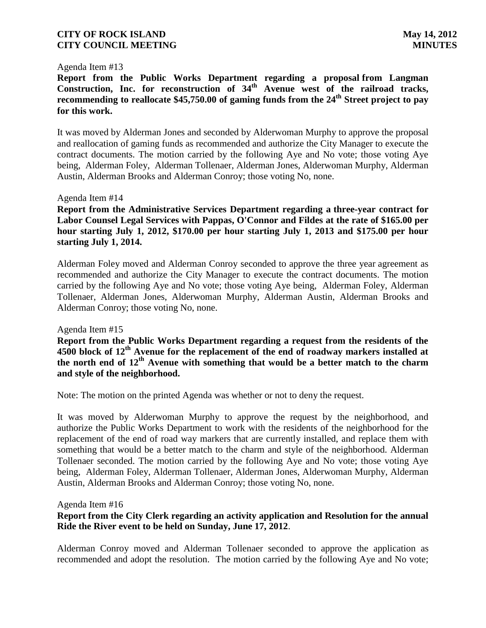#### Agenda Item #13

**Report from the Public Works Department regarding a proposal from Langman Construction, Inc. for reconstruction of 34th Avenue west of the railroad tracks, recommending to reallocate \$45,750.00 of gaming funds from the 24th Street project to pay for this work.**

It was moved by Alderman Jones and seconded by Alderwoman Murphy to approve the proposal and reallocation of gaming funds as recommended and authorize the City Manager to execute the contract documents. The motion carried by the following Aye and No vote; those voting Aye being, Alderman Foley, Alderman Tollenaer, Alderman Jones, Alderwoman Murphy, Alderman Austin, Alderman Brooks and Alderman Conroy; those voting No, none.

#### Agenda Item #14

**Report from the Administrative Services Department regarding a three-year contract for Labor Counsel Legal Services with Pappas, O'Connor and Fildes at the rate of \$165.00 per hour starting July 1, 2012, \$170.00 per hour starting July 1, 2013 and \$175.00 per hour starting July 1, 2014.** 

Alderman Foley moved and Alderman Conroy seconded to approve the three year agreement as recommended and authorize the City Manager to execute the contract documents. The motion carried by the following Aye and No vote; those voting Aye being, Alderman Foley, Alderman Tollenaer, Alderman Jones, Alderwoman Murphy, Alderman Austin, Alderman Brooks and Alderman Conroy; those voting No, none.

#### Agenda Item #15

**Report from the Public Works Department regarding a request from the residents of the 4500 block of 12th Avenue for the replacement of the end of roadway markers installed at the north end of 12th Avenue with something that would be a better match to the charm and style of the neighborhood.**

Note: The motion on the printed Agenda was whether or not to deny the request.

It was moved by Alderwoman Murphy to approve the request by the neighborhood, and authorize the Public Works Department to work with the residents of the neighborhood for the replacement of the end of road way markers that are currently installed, and replace them with something that would be a better match to the charm and style of the neighborhood. Alderman Tollenaer seconded. The motion carried by the following Aye and No vote; those voting Aye being, Alderman Foley, Alderman Tollenaer, Alderman Jones, Alderwoman Murphy, Alderman Austin, Alderman Brooks and Alderman Conroy; those voting No, none.

Agenda Item #16

## **Report from the City Clerk regarding an activity application and Resolution for the annual Ride the River event to be held on Sunday, June 17, 2012**.

Alderman Conroy moved and Alderman Tollenaer seconded to approve the application as recommended and adopt the resolution. The motion carried by the following Aye and No vote;